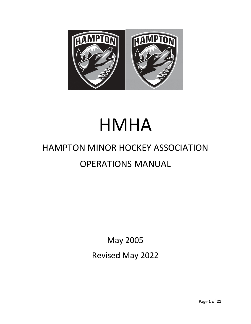

# HMHA

# HAMPTON MINOR HOCKEY ASSOCIATION OPERATIONS MANUAL

May 2005 Revised May 2022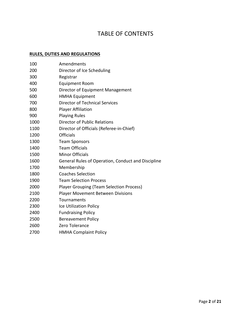## TABLE OF CONTENTS

#### **RULES, DUTIES AND REGULATIONS**

| Amendments                                         |
|----------------------------------------------------|
| Director of Ice Scheduling                         |
| Registrar                                          |
| <b>Equipment Room</b>                              |
| Director of Equipment Management                   |
| <b>HMHA Equipment</b>                              |
| <b>Director of Technical Services</b>              |
| <b>Player Affiliation</b>                          |
| <b>Playing Rules</b>                               |
| <b>Director of Public Relations</b>                |
| Director of Officials (Referee-in-Chief)           |
| <b>Officials</b>                                   |
| <b>Team Sponsors</b>                               |
| <b>Team Officials</b>                              |
| <b>Minor Officials</b>                             |
| General Rules of Operation, Conduct and Discipline |
| Membership                                         |
| <b>Coaches Selection</b>                           |
| <b>Team Selection Process</b>                      |
| <b>Player Grouping (Team Selection Process)</b>    |
| <b>Player Movement Between Divisions</b>           |
| Tournaments                                        |
| Ice Utilization Policy                             |
| <b>Fundraising Policy</b>                          |
| <b>Bereavement Policy</b>                          |
| Zero Tolerance                                     |
| <b>HMHA Complaint Policy</b>                       |
|                                                    |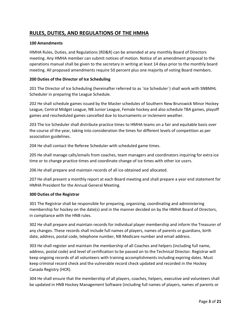### **RULES, DUTIES, AND REGULATIONS OF THE HMHA**

#### **100 Amendments**

HMHA Rules, Duties, and Regulations (RD&R) can be amended at any monthly Board of Directors meeting. Any HMHA member can submit notices of motion. Notice of an amendment proposal to the operations manual shall be given to the secretary in writing at least 14 days prior to the monthly board meeting. All proposed amendments require 50 percent plus one majority of voting Board members.

#### **200 Duties of the Director of Ice Scheduling**

201 The Director of Ice Scheduling (hereinafter referred to as `Ice Scheduler`) shall work with SNBMHL Scheduler in preparing the League Schedule.

202 He shall schedule games issued by the Master schedules of Southern New Brunswick Minor Hockey League, Central Midget League, NB Junior League, Female hockey and also schedule TBA games, playoff games and rescheduled games cancelled due to tournaments or inclement weather.

203 The Ice Scheduler shall distribute practice times to HMHA teams on a fair and equitable basis over the course of the year, taking into consideration the times for different levels of competition as per association guidelines.

204 He shall contact the Referee Scheduler with scheduled game times.

205 He shall manage calls/emails from coaches, team managers and coordinators inquiring for extra ice time or to change practice times and coordinate change of ice times with other ice users.

206 He shall prepare and maintain records of all ice obtained and allocated.

207 He shall present a monthly report at each Board meeting and shall prepare a year end statement for HMHA President for the Annual General Meeting.

#### **300 Duties of the Registrar**

301 The Registrar shall be responsible for preparing, organizing, coordinating and administering membership for hockey on the date(s) and in the manner decided on by the HMHA Board of Directors, in compliance with the HNB rules.

302 He shall prepare and maintain records for individual player membership and inform the Treasurer of any changes. These records shall include full names of players, names of parents or guardians, birth date, address, postal code, telephone number, NB Medicare number and email address.

303 He shall register and maintain the membership of all Coaches and helpers (including full name, address, postal code) and level of certification to be passed on to the Technical Director. Registrar will keep ongoing records of all volunteers with training accomplishments including expiring dates. Must keep criminal record check and the vulnerable record check updated and recorded in the Hockey Canada Registry (HCR).

304 He shall ensure that the membership of all players, coaches, helpers, executive and volunteers shall be updated in HNB Hockey Management Software (including full names of players, names of parents or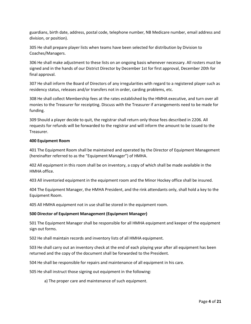guardians, birth date, address, postal code, telephone number, NB Medicare number, email address and division, or position).

305 He shall prepare player lists when teams have been selected for distribution by Division to Coaches/Managers.

306 He shall make adjustment to these lists on an ongoing basis whenever necessary. All rosters must be signed and in the hands of our District Director by December 1st for first approval, December 20th for final approval.

307 He shall inform the Board of Directors of any irregularities with regard to a registered player such as residency status, releases and/or transfers not in order, carding problems, etc.

308 He shall collect Membership fees at the rates established by the HMHA executive, and turn over all monies to the Treasurer for receipting. Discuss with the Treasurer if arrangements need to be made for funding.

309 Should a player decide to quit, the registrar shall return only those fees described in 2206. All requests for refunds will be forwarded to the registrar and will inform the amount to be issued to the Treasurer.

#### **400 Equipment Room**

401 The Equipment Room shall be maintained and operated by the Director of Equipment Management (hereinafter referred to as the "Equipment Manager") of HMHA.

402 All equipment in this room shall be on inventory, a copy of which shall be made available in the HMHA office.

403 All inventoried equipment in the equipment room and the Minor Hockey office shall be insured.

404 The Equipment Manager, the HMHA President, and the rink attendants only, shall hold a key to the Equipment Room.

405 All HMHA equipment not in use shall be stored in the equipment room.

#### **500 Director of Equipment Management (Equipment Manager)**

501 The Equipment Manager shall be responsible for all HMHA equipment and keeper of the equipment sign out forms.

502 He shall maintain records and inventory lists of all HMHA equipment.

503 He shall carry out an inventory check at the end of each playing year after all equipment has been returned and the copy of the document shall be forwarded to the President.

504 He shall be responsible for repairs and maintenance of all equipment in his care.

505 He shall instruct those signing out equipment in the following:

a) The proper care and maintenance of such equipment.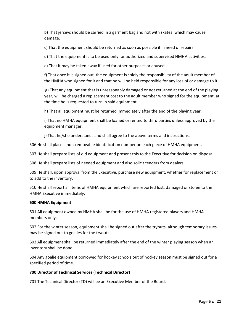b) That jerseys should be carried in a garment bag and not with skates, which may cause damage.

c) That the equipment should be returned as soon as possible if in need of repairs.

d) That the equipment is to be used only for authorized and supervised HMHA activities.

e) That it may be taken away if used for other purposes or abused.

f) That once it is signed out, the equipment is solely the responsibility of the adult member of the HMHA who signed for it and that he will be held responsible for any loss of or damage to it.

g) That any equipment that is unreasonably damaged or not returned at the end of the playing year, will be charged a replacement cost to the adult member who signed for the equipment, at the time he is requested to turn in said equipment.

h) That all equipment must be returned immediately after the end of the playing year.

i) That no HMHA equipment shall be loaned or rented to third parties unless approved by the equipment manager.

j) That he/she understands and shall agree to the above terms and instructions.

506 He shall place a non-removable identification number on each piece of HMHA equipment.

507 He shall prepare lists of old equipment and present this to the Executive for decision on disposal.

508 He shall prepare lists of needed equipment and also solicit tenders from dealers.

509 He shall, upon approval from the Executive, purchase new equipment, whether for replacement or to add to the inventory.

510 He shall report all items of HMHA equipment which are reported lost, damaged or stolen to the HMHA Executive immediately.

#### **600 HMHA Equipment**

601 All equipment owned by HMHA shall be for the use of HMHA registered players and HMHA members only.

602 For the winter season, equipment shall be signed out after the tryouts, although temporary issues may be signed out to goalies for the tryouts.

603 All equipment shall be returned immediately after the end of the winter playing season when an inventory shall be done.

604 Any goalie equipment borrowed for hockey schools out of hockey season must be signed out for a specified period of time.

#### **700 Director of Technical Services (Technical Director)**

701 The Technical Director (TD) will be an Executive Member of the Board.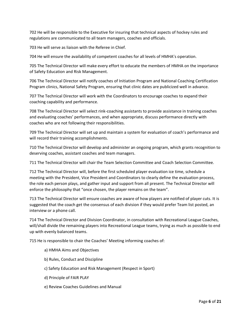702 He will be responsible to the Executive for insuring that technical aspects of hockey rules and regulations are communicated to all team managers, coaches and officials.

703 He will serve as liaison with the Referee in Chief.

704 He will ensure the availability of competent coaches for all levels of HMHA's operation.

705 The Technical Director will make every effort to educate the members of HMHA on the importance of Safety Education and Risk Management.

706 The Technical Director will notify coaches of Initiation Program and National Coaching Certification Program clinics, National Safety Program, ensuring that clinic dates are publicized well in advance.

707 The Technical Director will work with the Coordinators to encourage coaches to expand their coaching capability and performance.

708 The Technical Director will select rink-coaching assistants to provide assistance in training coaches and evaluating coaches' performances, and when appropriate, discuss performance directly with coaches who are not following their responsibilities.

709 The Technical Director will set up and maintain a system for evaluation of coach's performance and will record their training accomplishments.

710 The Technical Director will develop and administer an ongoing program, which grants recognition to deserving coaches, assistant coaches and team managers.

711 The Technical Director will chair the Team Selection Committee and Coach Selection Committee.

712 The Technical Director will, before the first scheduled player evaluation ice time, schedule a meeting with the President, Vice President and Coordinators to clearly define the evaluation process, the role each person plays, and gather input and support from all present. The Technical Director will enforce the philosophy that "once chosen, the player remains on the team".

713 The Technical Director will ensure coaches are aware of how players are notified of player cuts. It is suggested that the coach get the consensus of each division if they would prefer Team list posted, an interview or a phone call.

714 The Technical Director and Division Coordinator, in consultation with Recreational League Coaches, will/shall divide the remaining players into Recreational League teams, trying as much as possible to end up with evenly balanced teams.

715 He is responsible to chair the Coaches' Meeting informing coaches of:

- a) HMHA Aims and Objectives
- b) Rules, Conduct and Discipline
- c) Safety Education and Risk Management (Respect in Sport)
- d) Principle of FAIR PLAY
- e) Review Coaches Guidelines and Manual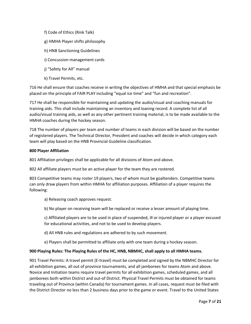- f) Code of Ethics (Rink Talk)
- g) HMHA Player shifts philosophy
- h) HNB Sanctioning Guidelines
- i) Concussion management cards
- j) "Safety for All" manual
- k) Travel Permits, etc.

716 He shall ensure that coaches receive in writing the objectives of HMHA and that special emphasis be placed on the principle of FAIR PLAY including "equal ice time" and "fun and recreation".

717 He shall be responsible for maintaining and updating the audio/visual and coaching manuals for training aids. This shall include maintaining an inventory and loaning record. A complete list of all audio/visual training aids, as well as any other pertinent training material, is to be made available to the HMHA coaches during the hockey season.

718 The number of players per team and number of teams in each division will be based on the number of registered players. The Technical Director, President and coaches will decide in which category each team will play based on the HNB Provincial Guideline classification.

#### **800 Player Affiliation**

801 Affiliation privileges shall be applicable for all divisions of Atom and above.

802 All affiliate players must be an active player for the team they are rostered.

803 Competitive teams may roster 19 players, two of whom must be goaltenders. Competitive teams can only draw players from within HMHA for affiliation purposes. Affiliation of a player requires the following:

- a) Releasing coach approves request.
- b) No player on receiving team will be replaced or receive a lesser amount of playing time.

c) Affiliated players are to be used in place of suspended, ill or injured player or a player excused for educational activities, and not to be used to develop players.

- d) All HNB rules and regulations are adhered to by such movement.
- e) Players shall be permitted to affiliate only with one team during a hockey season.

#### **900 Playing Rules: The Playing Rules of the HC, HNB, NBMHC, shall apply to all HMHA teams.**

901 Travel Permits: A travel permit (E-travel) must be completed and signed by the NBMHC Director for all exhibition games, all out of province tournaments, and all jamborees for teams Atom and above. Novice and Initiation teams require travel permits for all exhibition games, scheduled games, and all jamborees both within District and out-of District. Physical Travel Permits must be obtained for teams traveling out of Province (within Canada) for tournament games. In all cases, request must be filed with the District Director no less than 2 business days prior to the game or event. Travel to the United States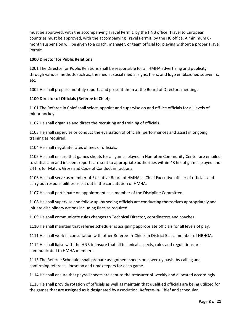must be approved, with the accompanying Travel Permit, by the HNB office. Travel to European countries must be approved, with the accompanying Travel Permit, by the HC office. A minimum 6 month suspension will be given to a coach, manager, or team official for playing without a proper Travel Permit.

#### **1000 Director for Public Relations**

1001 The Director for Public Relations shall be responsible for all HMHA advertising and publicity through various methods such as, the media, social media, signs, fliers, and logo emblazoned souvenirs, etc.

1002 He shall prepare monthly reports and present them at the Board of Directors meetings.

#### **1100 Director of Officials (Referee in Chief)**

1101 The Referee in Chief shall select, appoint and supervise on and off-ice officials for all levels of minor hockey.

1102 He shall organize and direct the recruiting and training of officials.

1103 He shall supervise or conduct the evaluation of officials' performances and assist in ongoing training as required.

1104 He shall negotiate rates of fees of officials.

1105 He shall ensure that games sheets for all games played in Hampton Community Center are emailed to statistician and incident reports are sent to appropriate authorities within 48 hrs of games played and 24 hrs for Match, Gross and Code of Conduct infractions.

1106 He shall serve as member of Executive Board of HMHA as Chief Executive officer of officials and carry out responsibilities as set out in the constitution of HMHA.

1107 He shall participate on appointment as a member of the Discipline Committee.

1108 He shall supervise and follow up, by seeing officials are conducting themselves appropriately and initiate disciplinary actions including fines as required.

1109 He shall communicate rules changes to Technical Director, coordinators and coaches.

1110 He shall maintain that referee scheduler is assigning appropriate officials for all levels of play.

1111 He shall work in consultation with other Referee-In-Chiefs in District 5 as a member of NBHOA.

1112 He shall liaise with the HNB to insure that all technical aspects, rules and regulations are communicated to HMHA members.

1113 The Referee Scheduler shall prepare assignment sheets on a weekly basis, by calling and confirming referees, linesman and timekeepers for each game.

1114 He shall ensure that payroll sheets are sent to the treasurer bi-weekly and allocated accordingly.

1115 He shall provide rotation of officials as well as maintain that qualified officials are being utilized for the games that are assigned as is designated by association, Referee-In- Chief and scheduler.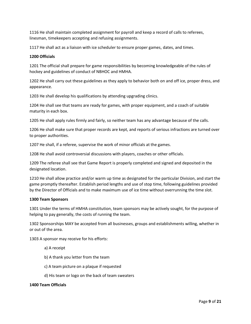1116 He shall maintain completed assignment for payroll and keep a record of calls to referees, linesman, timekeepers accepting and refusing assignments.

1117 He shall act as a liaison with ice scheduler to ensure proper games, dates, and times.

#### **1200 Officials**

1201 The official shall prepare for game responsibilities by becoming knowledgeable of the rules of hockey and guidelines of conduct of NBHOC and HMHA.

1202 He shall carry out these guidelines as they apply to behavior both on and off ice, proper dress, and appearance.

1203 He shall develop his qualifications by attending upgrading clinics.

1204 He shall see that teams are ready for games, with proper equipment, and a coach of suitable maturity in each box.

1205 He shall apply rules firmly and fairly, so neither team has any advantage because of the calls.

1206 He shall make sure that proper records are kept, and reports of serious infractions are turned over to proper authorities.

1207 He shall, if a referee, supervise the work of minor officials at the games.

1208 He shall avoid controversial discussions with players, coaches or other officials.

1209 The referee shall see that Game Report is properly completed and signed and deposited in the designated location.

1210 He shall allow practice and/or warm up time as designated for the particular Division, and start the game promptly thereafter. Establish period lengths and use of stop time, following guidelines provided by the Director of Officials and to make maximum use of ice time without overrunning the time slot.

#### **1300 Team Sponsors**

1301 Under the terms of HMHA constitution, team sponsors may be actively sought, for the purpose of helping to pay generally, the costs of running the team.

1302 Sponsorships MAY be accepted from all businesses, groups and establishments willing, whether in or out of the area.

1303 A sponsor may receive for his efforts:

- a) A receipt
- b) A thank you letter from the team
- c) A team picture on a plaque if requested
- d) His team or logo on the back of team sweaters

#### **1400 Team Officials**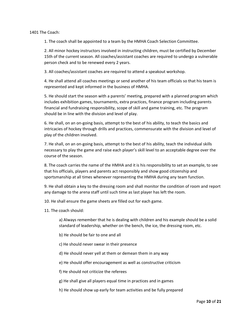1401 The Coach:

1. The coach shall be appointed to a team by the HMHA Coach Selection Committee.

2. All minor hockey instructors involved in instructing children, must be certified by December 15th of the current season. All coaches/assistant coaches are required to undergo a vulnerable person check and to be renewed every 2 years.

3. All coaches/assistant coaches are required to attend a speakout workshop.

4. He shall attend all coaches meetings or send another of his team officials so that his team is represented and kept informed in the business of HMHA.

5. He should start the season with a parents' meeting, prepared with a planned program which includes exhibition games, tournaments, extra practices, finance program including parents financial and fundraising responsibility, scope of skill and game training, etc. The program should be in line with the division and level of play.

6. He shall, on an on-going basis, attempt to the best of his ability, to teach the basics and intricacies of hockey through drills and practices, commensurate with the division and level of play of the children involved.

7. He shall, on an on-going basis, attempt to the best of his ability, teach the individual skills necessary to play the game and raise each player's skill level to an acceptable degree over the course of the season.

8. The coach carries the name of the HMHA and it is his responsibility to set an example, to see that his officials, players and parents act responsibly and show good citizenship and sportsmanship at all times whenever representing the HMHA during any team function.

9. He shall obtain a key to the dressing room and shall monitor the condition of room and report any damage to the arena staff until such time as last player has left the room.

10. He shall ensure the game sheets are filled out for each game.

11. The coach should:

a) Always remember that he is dealing with children and his example should be a solid standard of leadership, whether on the bench, the ice, the dressing room, etc.

b) He should be fair to one and all

c) He should never swear in their presence

d) He should never yell at them or demean them in any way

e) He should offer encouragement as well as constructive criticism

f) He should not criticize the referees

g) He shall give all players equal time in practices and in games

h) He should show up early for team activities and be fully prepared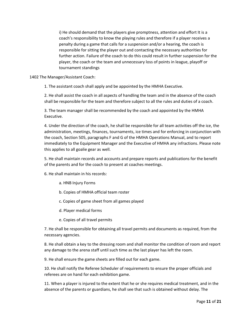i) He should demand that the players give promptness, attention and effort It is a coach's responsibility to know the playing rules and therefore if a player receives a penalty during a game that calls for a suspension and/or a hearing, the coach is responsible for sitting the player out and contacting the necessary authorities for further action. Failure of the coach to do this could result in further suspension for the player, the coach or the team and unnecessary loss of points in league, playoff or tournament standings

1402 The Manager/Assistant Coach:

1. The assistant coach shall apply and be appointed by the HMHA Executive.

2. He shall assist the coach in all aspects of handling the team and in the absence of the coach shall be responsible for the team and therefore subject to all the rules and duties of a coach.

3. The team manager shall be recommended by the coach and appointed by the HMHA Executive.

4. Under the direction of the coach, he shall be responsible for all team activities off the ice, the administration, meetings, finances, tournaments, ice times and for enforcing in conjunction with the coach, Section 505, paragraphs F and G of the HMHA Operations Manual, and to report immediately to the Equipment Manager and the Executive of HMHA any infractions. Please note this applies to all goalie gear as well.

5. He shall maintain records and accounts and prepare reports and publications for the benefit of the parents and for the coach to present at coaches meetings.

6. He shall maintain in his records:

- a. HNB Injury Forms
- b. Copies of HMHA official team roster
- c. Copies of game sheet from all games played
- d. Player medical forms
- e. Copies of all travel permits

7. He shall be responsible for obtaining all travel permits and documents as required, from the necessary agencies.

8. He shall obtain a key to the dressing room and shall monitor the condition of room and report any damage to the arena staff until such time as the last player has left the room.

9. He shall ensure the game sheets are filled out for each game.

10. He shall notify the Referee Scheduler of requirements to ensure the proper officials and referees are on hand for each exhibition game.

11. When a player is injured to the extent that he or she requires medical treatment, and in the absence of the parents or guardians, he shall see that such is obtained without delay. The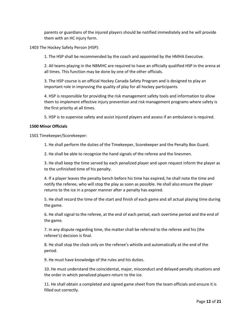parents or guardians of the injured players should be notified immediately and he will provide them with an HC injury form.

1403 The Hockey Safety Person (HSP):

1. The HSP shall be recommended by the coach and appointed by the HMHA Executive.

2. All teams playing in the NBMHC are required to have an officially qualified HSP in the arena at all times. This function may be done by one of the other officials.

3. The HSP course is an official Hockey Canada Safety Program and is designed to play an important role in improving the quality of play for all hockey participants.

4. HSP is responsible for providing the risk management safety tools and information to allow them to implement effective injury prevention and risk management programs where safety is the first priority at all times.

5. HSP is to supervise safety and assist injured players and assess if an ambulance is required.

#### **1500 Minor Officials**

1501 Timekeeper/Scorekeeper:

1. He shall perform the duties of the Timekeeper, Scorekeeper and the Penalty Box Guard.

2. He shall be able to recognize the hand signals of the referee and the linesmen.

3. He shall keep the time served by each penalized player and upon request inform the player as to the unfinished time of his penalty.

4. If a player leaves the penalty bench before his time has expired, he shall note the time and notify the referee, who will stop the play as soon as possible. He shall also ensure the player returns to the ice in a proper manner after a penalty has expired.

5. He shall record the time of the start and finish of each game and all actual playing time during the game.

6. He shall signal to the referee, at the end of each period, each overtime period and the end of the game.

7. In any dispute regarding time, the matter shall be referred to the referee and his (the referee's) decision is final.

8. He shall stop the clock only on the referee's whistle and automatically at the end of the period.

9. He must have knowledge of the rules and his duties.

10. He must understand the coincidental, major, misconduct and delayed penalty situations and the order in which penalized players return to the ice.

11. He shall obtain a completed and signed game sheet from the team officials and ensure it is filled out correctly.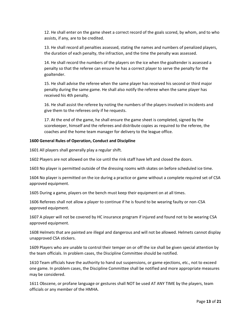12. He shall enter on the game sheet a correct record of the goals scored, by whom, and to who assists, if any, are to be credited.

13. He shall record all penalties assessed, stating the names and numbers of penalized players, the duration of each penalty, the infraction, and the time the penalty was assessed.

14. He shall record the numbers of the players on the ice when the goaltender is assessed a penalty so that the referee can ensure he has a correct player to serve the penalty for the goaltender.

15. He shall advise the referee when the same player has received his second or third major penalty during the same game. He shall also notify the referee when the same player has received his 4th penalty.

16. He shall assist the referee by noting the numbers of the players involved in incidents and give them to the referees only if he requests.

17. At the end of the game, he shall ensure the game sheet is completed, signed by the scorekeeper, himself and the referees and distribute copies as required to the referee, the coaches and the home team manager for delivery to the league office.

#### **1600 General Rules of Operation, Conduct and Discipline**

1601 All players shall generally play a regular shift.

1602 Players are not allowed on the ice until the rink staff have left and closed the doors.

1603 No player is permitted outside of the dressing rooms with skates on before scheduled ice time.

1604 No player is permitted on the ice during a practice or game without a complete required set of CSA approved equipment.

1605 During a game, players on the bench must keep their equipment on at all times.

1606 Referees shall not allow a player to continue if he is found to be wearing faulty or non-CSA approved equipment.

1607 A player will not be covered by HC insurance program if injured and found not to be wearing CSA approved equipment.

1608 Helmets that are painted are illegal and dangerous and will not be allowed. Helmets cannot display unapproved CSA stickers.

1609 Players who are unable to control their temper on or off the ice shall be given special attention by the team officials. In problem cases, the Discipline Committee should be notified.

1610 Team officials have the authority to hand out suspensions, or game ejections, etc., not to exceed one game. In problem cases, the Discipline Committee shall be notified and more appropriate measures may be considered.

1611 Obscene, or profane language or gestures shall NOT be used AT ANY TIME by the players, team officials or any member of the HMHA.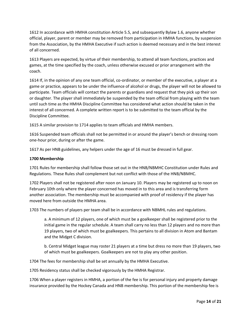1612 In accordance with HMHA constitution Article 5.5, and subsequently Bylaw 1.6, anyone whether official, player, parent or member may be removed from participation in HMHA functions, by suspension from the Association, by the HMHA Executive if such action is deemed necessary and in the best interest of all concerned.

1613 Players are expected, by virtue of their membership, to attend all team functions, practices and games, at the time specified by the coach, unless otherwise excused or prior arrangement with the coach.

1614 If, in the opinion of any one team official, co-ordinator, or member of the executive, a player at a game or practice, appears to be under the influence of alcohol or drugs, the player will not be allowed to participate. Team officials will contact the parents or guardians and request that they pick up their son or daughter. The player shall immediately be suspended by the team official from playing with the team until such time as the HMHA Discipline Committee has considered what action should be taken in the interest of all concerned. A complete written report is to be submitted to the team official by the Discipline Committee.

1615 A similar provision to 1714 applies to team officials and HMHA members.

1616 Suspended team officials shall not be permitted in or around the player's bench or dressing room one-hour prior, during or after the game.

1617 As per HNB guidelines, any helpers under the age of 16 must be dressed in full gear.

#### **1700 Membership**

1701 Rules for membership shall follow those set out in the HNB/NBMHC Constitution under Rules and Regulations. These Rules shall complement but not conflict with those of the HNB/NBMHC.

1702 Players shall not be registered after noon on January 10. Players may be registered up to noon on February 10th only where the player concerned has moved in to this area and is transferring form another association. The membership must be accompanied with proof of residency if the player has moved here from outside the HMHA area.

1703 The numbers of players per team shall be in accordance with NBMHL rules and regulations.

a. A minimum of 12 players, one of which must be a goalkeeper shall be registered prior to the initial game in the regular schedule. A team shall carry no less than 12 players and no more than 19 players, two of which must be goalkeepers. This pertains to all division in Atom and Bantam and the Midget C division.

b. Central Midget league may roster 21 players at a time but dress no more than 19 players, two of which must be goalkeepers. Goalkeepers are not to play any other position.

1704 The fees for membership shall be set annually by the HMHA Executive.

1705 Residency status shall be checked vigorously by the HMHA Registrar.

1706 When a player registers in HMHA, a portion of the fee is for personal injury and property damage insurance provided by the Hockey Canada and HNB membership. This portion of the membership fee is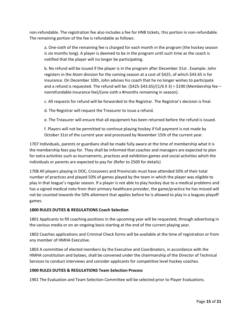non-refundable. The registration fee also includes a fee for HNB tickets, this portion in non-refundable. The remaining portion of the fee is refundable as follows:

a. One-sixth of the remaining fee is charged for each month in the program (the hockey season is six months long). A player is deemed to be in the program until such time as the coach is notified that the player will no longer be participating.

b. No refund will be issued if the player is in the program after December 31st . Example: John registers in the Atom division for the coming season at a cost of \$425, of which \$43.65 is for insurance. On December 10th, John advises his coach that he no longer wishes to participate and a refund is requested. The refund will be:  $(\frac{2425}{543.65})/(1/6 \times 3) = 1/30$  (Membership fee – nonrefundable insurance fee)/(one sixth x #months remaining in season).

c. All requests for refund will be forwarded to the Registrar. The Registrar's decision is final.

d. The Registrar will request the Treasurer to issue a refund.

e. The Treasurer will ensure that all equipment has been returned before the refund is issued.

f. Players will not be permitted to continue playing hockey if full payment is not made by October 31st of the current year and processed by November 15th of the current year.

1707 Individuals, parents or guardians shall be made fully aware at the time of membership what it is the membership fees pay for. They shall be informed that coaches and managers are expected to plan for extra activities such as tournaments, practices and exhibition games and social activities which the individuals or parents are expected to pay for (Refer to 2500 for details)

1708 All players playing in DOC, Crossovers and Provincials must have attended 50% of their total number of practices and played 50% of games played by the team in which the player was eligible to play in that league's regular season. If a player is not able to play hockey due to a medical problems and has a signed medical note from their primary healthcare provider, the game/practice he has missed will not be counted towards the 50% allotment that applies before he is allowed to play in a leagues playoff games.

#### **1800 RULES DUTIES & REGULATIONS Coach Selection**

1801 Applicants to fill coaching positions in the upcoming year will be requested, through advertising in the various media or on an ongoing basis starting at the end of the current playing year.

1802 Coaches applications and Criminal Check forms will be available at the time of registration or from any member of HMHA Executive.

1803 A committee of elected members by the Executive and Coordinators, in accordance with the HMHA constitution and bylaws, shall be convened under the chairmanship of the Director of Technical Services to conduct interviews and consider applicants for competitive level hockey coaches.

#### **1900 RULES DUTIES & REGULATIONS Team Selection Process**

1901 The Evaluation and Team Selection Committee will be selected prior to Player Evaluations.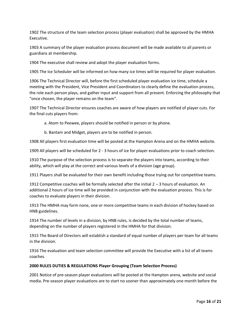1902 The structure of the team selection process (player evaluation) shall be approved by the HMHA Executive.

1903 A summary of the player evaluation process document will be made available to all parents or guardians at membership.

1904 The executive shall review and adopt the player evaluation forms.

1905 The Ice Scheduler will be informed on how many ice times will be required for player evaluation.

1906 The Technical Director will, before the first scheduled player evaluation ice time, schedule a meeting with the President, Vice President and Coordinators to clearly define the evaluation process, the role each person plays, and gather input and support from all present. Enforcing the philosophy that "once chosen, the player remains on the team".

1907 The Technical Director ensures coaches are aware of how players are notified of player cuts. For the final cuts players from:

a. Atom to Peewee, players should be notified in person or by phone.

b. Bantam and Midget, players are to be notified in person.

1908 All players first evaluation time will be posted at the Hampton Arena and on the HMHA website.

1909 All players will be scheduled for 2 - 3 hours of ice for player evaluations prior to coach selection.

1910 The purpose of the selection process is to separate the players into teams, according to their ability, which will play at the correct and various levels of a division (age group).

1911 Players shall be evaluated for their own benefit including those trying out for competitive teams.

1912 Competitive coaches will be formally selected after the initial 2 – 3 hours of evaluation. An additional 2 hours of ice time will be provided in conjunction with the evaluation process. This is for coaches to evaluate players in their division.

1913 The HMHA may form none, one or more competitive teams in each division of hockey based on HNB guidelines.

1914 The number of levels in a division, by HNB rules, is decided by the total number of teams, depending on the number of players registered in the HMHA for that division.

1915 The Board of Directors will establish a standard of equal number of players per team for all teams in the division.

1916 The evaluation and team selection committee will provide the Executive with a list of all teams coaches.

#### **2000 RULES DUTIES & REGULATIONS Player Grouping (Team Selection Process)**

2001 Notice of pre-season player evaluations will be posted at the Hampton arena, website and social media. Pre-season player evaluations are to start no sooner than approximately one month before the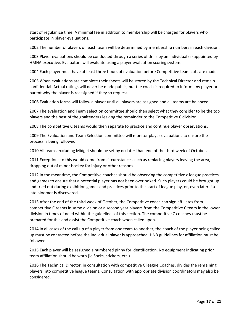start of regular ice time. A minimal fee in addition to membership will be charged for players who participate in player evaluations.

2002 The number of players on each team will be determined by membership numbers in each division.

2003 Player evaluations should be conducted through a series of drills by an individual (s) appointed by HMHA executive. Evaluators will evaluate using a player evaluation scoring system.

2004 Each player must have at least three hours of evaluation before Competitive team cuts are made.

2005 When evaluations are complete their sheets will be stored by the Technical Director and remain confidential. Actual ratings will never be made public, but the coach is required to inform any player or parent why the player is reassigned if they so request.

2006 Evaluation forms will follow a player until all players are assigned and all teams are balanced.

2007 The evaluation and Team selection committee should then select what they consider to be the top players and the best of the goaltenders leaving the remainder to the Competitive C division.

2008 The competitive C teams would then separate to practice and continue player observations.

2009 The Evaluation and Team Selection committee will monitor player evaluations to ensure the process is being followed.

2010 All teams excluding Midget should be set by no later than end of the third week of October.

2011 Exceptions to this would come from circumstances such as replacing players leaving the area, dropping out of minor hockey for injury or other reasons.

2012 In the meantime, the Competitive coaches should be observing the competitive c league practices and games to ensure that a potential player has not been overlooked. Such players could be brought up and tried out during exhibition games and practices prior to the start of league play, or, even later if a late bloomer is discovered.

2013 After the end of the third week of October, the Competitive coach can sign affiliates from competitive C teams in same division or a second year players from the Competitive C team in the lower division in times of need within the guidelines of this section. The competitive C coaches must be prepared for this and assist the Competitive coach when called upon.

2014 In all cases of the call up of a player from one team to another, the coach of the player being called up must be contacted before the individual player is approached. HNB guidelines for affiliation must be followed.

2015 Each player will be assigned a numbered pinny for identification. No equipment indicating prior team affiliation should be worn (ie Socks, stickers, etc.)

2016 The Technical Director, in consultation with competitive C league Coaches, divides the remaining players into competitive league teams. Consultation with appropriate division coordinators may also be considered.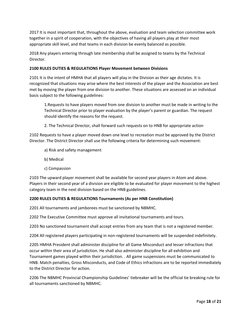2017 It is most important that, throughout the above, evaluation and team selection committee work together in a spirit of cooperation, with the objectives of having all players play at their most appropriate skill level, and that teams in each division be evenly balanced as possible.

2018 Any players entering through late membership shall be assigned to teams by the Technical Director.

#### **2100 RULES DUTIES & REGULATIONS Player Movement between Divisions**

2101 It is the intent of HMHA that all players will play in the Division as their age dictates. It is recognized that situations may arise where the best interests of the player and the Association are best met by moving the player from one division to another. These situations are assessed on an individual basis subject to the following guidelines:

1.Requests to have players moved from one division to another must be made in writing to the Technical Director prior to player evaluation by the player's parent or guardian. The request should identify the reasons for the request.

2. The Technical Director, shall forward such requests on to HNB for appropriate action

2102 Requests to have a player moved down one level to recreation must be approved by the District Director. The District Director shall use the following criteria for determining such movement:

- a) Risk and safety management
- b) Medical
- c) Compassion

2103 The upward player movement shall be available for second year players in Atom and above. Players in their second year of a division are eligible to be evaluated for player movement to the highest category team in the next division based on the HNB guidelines.

#### **2200 RULES DUTIES & REGULATIONS Tournaments (As per HNB Constitution)**

2201 All tournaments and jamborees must be sanctioned by NBMHC.

2202 The Executive Committee must approve all invitational tournaments and tours.

2203 No sanctioned tournament shall accept entries from any team that is not a registered member.

2204 All registered players participating in non-registered tournaments will be suspended indefinitely.

2205 HMHA President shall administer discipline for all Game Misconduct and lesser infractions that occur within their area of jurisdiction. He shall also administer discipline for all exhibition and Tournament games played within their jurisdiction. . All game suspensions must be communicated to HNB. Match penalties, Gross Misconducts, and Code of Ethics infractions are to be reported immediately to the District Director for action.

2206 The NBMHC Provincial Championship Guidelines' tiebreaker will be the official tie breaking rule for all tournaments sanctioned by NBMHC.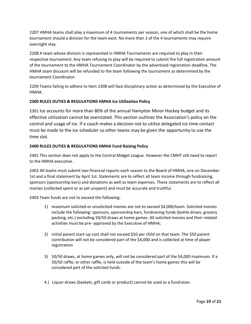2207 HMHA teams shall play a maximum of 4 tournaments per season, one of which shall be the home tournament should a division for the team exist. No more than 2 of the 4 tournaments may require overnight stay.

2208 A team whose division is represented in HMHA Tournaments are required to play in their respective tournament. Any team refusing to play will be required to submit the full registration amount of the tournament to the HMHA Tournament Coordinator by the advertised registration deadline. The HMHA team discount will be refunded to the team following the tournament as determined by the tournament Coordinator.

2209 Teams failing to adhere to Item 2308 will face disciplinary action as determined by the Executive of HMHA.

#### **2300 RULES DUTIES & REGULATIONS HMHA Ice Utilization Policy**

2301 Ice accounts for more than 80% of the annual Hampton Minor Hockey budget and its effective utilization cannot be overstated. This section outlines the Association's policy on the control and usage of ice. If a coach makes a decision not to utilize delegated ice time contact must be made to the ice scheduler so other teams may be given the opportunity to use the time slot.

#### **2400 RULES DUTIES & REGULATIONS HMHA Fund Raising Policy**

2401 This section does not apply to the Central Midget League. However the CMHT still need to report to the HMHA executive.

2402 All teams must submit two financial reports each season to the Board of HMHA, one on December 1st and a final statement by April 1st. Statements are to reflect all team income through fundraising, sponsors (sponsorship bars) and donations as well as team expenses. These statements are to reflect all monies (collected spent or as yet unspent) and must be accurate and truthful.

2403 Team funds are not to exceed the following:

- 1) maximum solicited or unsolicited monies are not to exceed \$4,000/team. Solicited monies include the following: sponsors, sponsorship bars, fundraising funds (bottle drives, grocery packing, etc.) excluding 50/50 draws at home games. All solicited monies and their related activities must be pre- approved by the Executive of HMHA;
- 2) initial parent start-up cost shall not exceed \$50 per child on that team. The \$50 parent contribution will not be considered part of the \$4,000 and is collected at time of player registration
- 3) 50/50 draws, at home games only, will not be considered part of the \$4,000 maximum. If a 50/50 raffle, or other raffle, is held outside of the team's home games this will be considered part of the solicited funds.
- 4.) Liquor draws (baskets, gift cards or product) cannot be used as a fundraiser.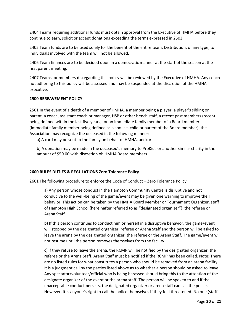2404 Teams requiring additional funds must obtain approval from the Executive of HMHA before they continue to earn, solicit or accept donations exceeding the terms expressed in 2503.

2405 Team funds are to be used solely for the benefit of the entire team. Distribution, of any type, to individuals involved with the team will not be allowed.

2406 Team finances are to be decided upon in a democratic manner at the start of the season at the first parent meeting.

2407 Teams, or members disregarding this policy will be reviewed by the Executive of HMHA. Any coach not adhering to this policy will be assessed and may be suspended at the discretion of the HMHA executive.

#### **2500 BEREAVEMENT POLICY**

2501 In the event of a death of a member of HMHA, a member being a player, a player's sibling or parent, a coach, assistant coach or manager, HSP or other bench staff, a recent past members (recent being defined within the last five years), or an immediate family member of a Board member (immediate family member being defined as a spouse, child or parent of the Board member), the Association may recognize the deceased in the following manner:

a) A card may be sent to the family on behalf of HMHA, and/or

b) A donation may be made in the deceased's memory to ProKids or another similar charity in the amount of \$50.00 with discretion oh HMHA Board members

#### **2600 RULES DUTIES & REGULATIONS Zero Tolerance Policy**

2601 The following procedure to enforce the Code of Conduct – Zero Tolerance Policy:

a) Any person whose conduct in the Hampton Community Centre is disruptive and not conducive to the well-being of the game/event may be given one warning to improve their behavior. This action can be taken by the HMHA Board Member or Tournament Organizer, staff of Hampton High School (hereinafter referred to as "designated organizer"), the referee or Arena Staff.

b) If this person continues to conduct him or herself in a disruptive behavior, the game/event will stopped by the designated organizer, referee or Arena Staff and the person will be asked to leave the arena by the designated organizer, the referee or the Arena Staff. The game/event will not resume until the person removes themselves from the facility.

c) If they refuse to leave the arena, the RCMP will be notified by the designated organizer, the referee or the Arena Staff. Arena Staff must be notified if the RCMP has been called. Note: There are no listed rules for what constitutes a person who should be removed from an arena facility. It is a judgment call by the parties listed above as to whether a person should be asked to leave. Any spectator/volunteer/official who is being harassed should bring this to the attention of the designate organizer of the event or the arena staff. The person will be spoken to and if the unacceptable conduct persists, the designated organizer or arena staff can call the police. However, it is anyone's right to call the police themselves if they feel threatened. No one (staff